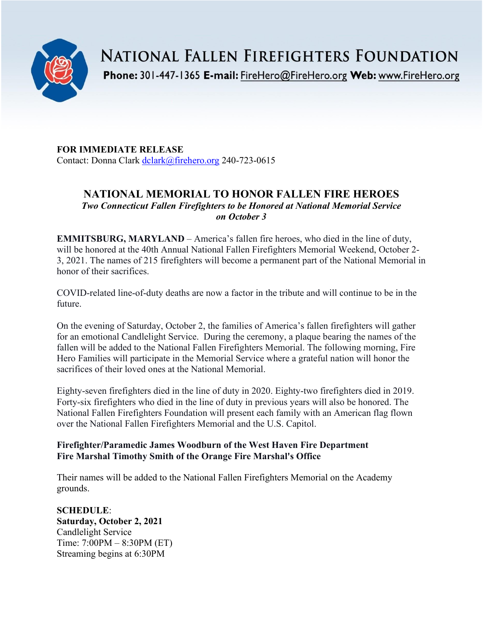

**NATIONAL FALLEN FIREFIGHTERS FOUNDATION** 

Phone: 301-447-1365 E-mail: FireHero@FireHero.org Web: www.FireHero.org

**FOR IMMEDIATE RELEASE** Contact: Donna Clark [dclark@firehero.org](mailto:dclark@firehero.org) 240-723-0615

# **NATIONAL MEMORIAL TO HONOR FALLEN FIRE HEROES** *Two Connecticut Fallen Firefighters to be Honored at National Memorial Service on October 3*

**EMMITSBURG, MARYLAND** – America's fallen fire heroes, who died in the line of duty, will be honored at the 40th Annual National Fallen Firefighters Memorial Weekend, October 2- 3, 2021. The names of 215 firefighters will become a permanent part of the National Memorial in honor of their sacrifices.

COVID-related line-of-duty deaths are now a factor in the tribute and will continue to be in the future.

On the evening of Saturday, October 2, the families of America's fallen firefighters will gather for an emotional Candlelight Service. During the ceremony, a plaque bearing the names of the fallen will be added to the National Fallen Firefighters Memorial. The following morning, Fire Hero Families will participate in the Memorial Service where a grateful nation will honor the sacrifices of their loved ones at the National Memorial.

Eighty-seven firefighters died in the line of duty in 2020. Eighty-two firefighters died in 2019. Forty-six firefighters who died in the line of duty in previous years will also be honored. The National Fallen Firefighters Foundation will present each family with an American flag flown over the National Fallen Firefighters Memorial and the U.S. Capitol.

## **Firefighter/Paramedic James Woodburn of the West Haven Fire Department Fire Marshal Timothy Smith of the Orange Fire Marshal's Office**

Their names will be added to the National Fallen Firefighters Memorial on the Academy grounds.

**SCHEDULE**: **Saturday, October 2, 2021** Candlelight Service Time: 7:00PM – 8:30PM (ET) Streaming begins at 6:30PM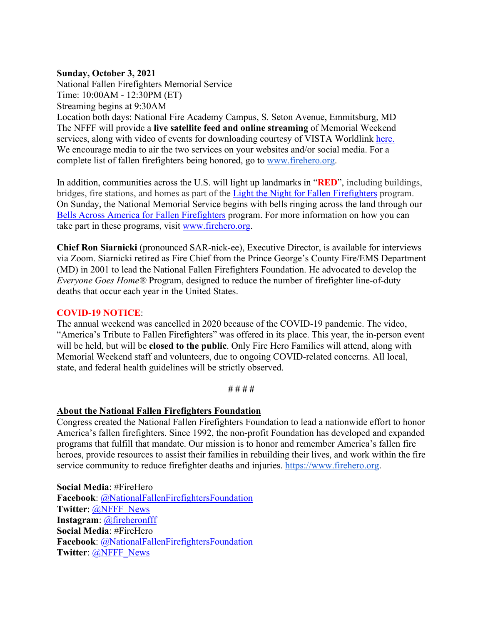### **Sunday, October 3, 2021**

National Fallen Firefighters Memorial Service Time: 10:00AM - 12:30PM (ET) Streaming begins at 9:30AM Location both days: National Fire Academy Campus, S. Seton Avenue, Emmitsburg, MD The NFFF will provide a **live satellite feed and online streaming** of Memorial Weekend services, along with video of events for downloading courtesy of VISTA Worldlink [here.](https://www.firehero.org/events/memorial-weekend/attending-memorial-weekend/ways-honor-fallen/watch-live/) We encourage media to air the two services on your websites and/or social media. For a complete list of fallen firefighters being honored, go to [www.firehero.org.](http://www.firehero.org/)

In addition, communities across the U.S. will light up landmarks in "**RED**", including buildings, bridges, fire stations, and homes as part of the [Light the Night for Fallen Firefighters](https://www.firehero.org/events/memorial-weekend/about/light-night-fallen-firefighters/) program. On Sunday, the National Memorial Service begins with bells ringing across the land through our [Bells Across America for Fallen Firefighters](https://www.firehero.org/events/memorial-weekend/about/bells-across-america/participation-form/) program. For more information on how you can take part in these programs, visit [www.firehero.org.](http://www.firehero.org/)

**Chief Ron Siarnicki** (pronounced SAR-nick-ee), Executive Director, is available for interviews via Zoom. Siarnicki retired as Fire Chief from the Prince George's County Fire/EMS Department (MD) in 2001 to lead the National Fallen Firefighters Foundation. He advocated to develop the *Everyone Goes Home®* Program, designed to reduce the number of firefighter line-of-duty deaths that occur each year in the United States.

#### **COVID-19 NOTICE**:

The annual weekend was cancelled in 2020 because of the COVID-19 pandemic. The video, "America's Tribute to Fallen Firefighters" was offered in its place. This year, the in-person event will be held, but will be **closed to the public**. Only Fire Hero Families will attend, along with Memorial Weekend staff and volunteers, due to ongoing COVID-related concerns. All local, state, and federal health guidelines will be strictly observed.

#### **# # # #**

#### **About the National Fallen Firefighters Foundation**

Congress created the National Fallen Firefighters Foundation to lead a nationwide effort to honor America's fallen firefighters. Since 1992, the non-profit Foundation has developed and expanded programs that fulfill that mandate. Our mission is to honor and remember America's fallen fire heroes, provide resources to assist their families in rebuilding their lives, and work within the fire service community to reduce firefighter deaths and injuries. [https://www.firehero.org.](https://www.firehero.org/)

**Social Media**: #FireHero **Facebook**: [@NationalFallenFirefightersFoundation](https://www.facebook.com/NationalFallenFirefightersFoundation) **Twitter**: [@NFFF\\_News](https://twitter.com/NFFF_News) **Instagram**: [@fireheronfff](https://instagram.com/fireheronfff/) **Social Media**: #FireHero **Facebook**: [@NationalFallenFirefightersFoundation](https://www.facebook.com/NationalFallenFirefightersFoundation) **Twitter**: [@NFFF\\_News](https://twitter.com/NFFF_News)